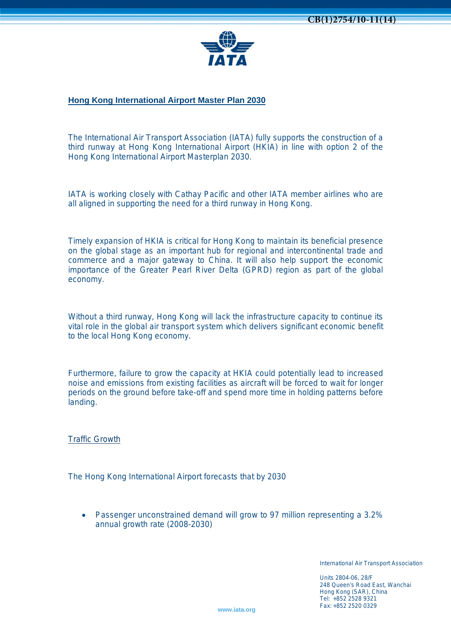

**Hong Kong International Airport Master Plan 2030**

The International Air Transport Association (IATA) fully supports the construction of a third runway at Hong Kong International Airport (HKIA) in line with option 2 of the Hong Kong International Airport Masterplan 2030.

IATA is working closely with Cathay Pacific and other IATA member airlines who are all aligned in supporting the need for a third runway in Hong Kong.

Timely expansion of HKIA is critical for Hong Kong to maintain its beneficial presence on the global stage as an important hub for regional and intercontinental trade and commerce and a major gateway to China. It will also help support the economic importance of the Greater Pearl River Delta (GPRD) region as part of the global economy.

Without a third runway, Hong Kong will lack the infrastructure capacity to continue its vital role in the global air transport system which delivers significant economic benefit to the local Hong Kong economy.

Furthermore, failure to grow the capacity at HKIA could potentially lead to increased noise and emissions from existing facilities as aircraft will be forced to wait for longer periods on the ground before take-off and spend more time in holding patterns before landing.

Traffic Growth

The Hong Kong International Airport forecasts that by 2030

• Passenger unconstrained demand will grow to 97 million representing a 3.2% annual growth rate (2008-2030)

International Air Transport Association

Units 2804-06, 28/F 248 Queen's Road East, Wanchai Hong Kong (SAR), China Tel: +852 2528 9321 Fax: +852 2520 0329

**www.iata.org**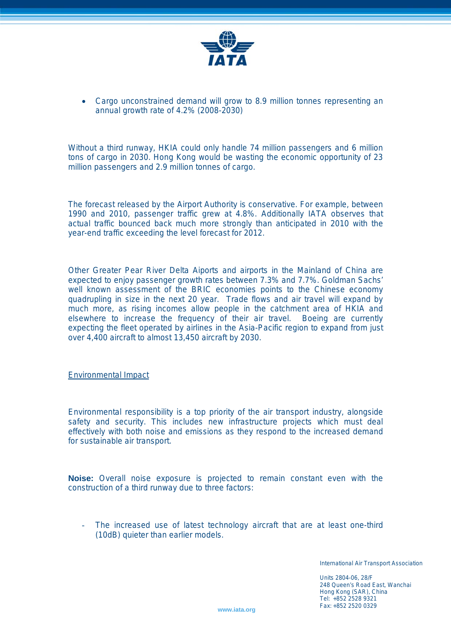

• Cargo unconstrained demand will grow to 8.9 million tonnes representing an annual growth rate of 4.2% (2008-2030)

Without a third runway, HKIA could only handle 74 million passengers and 6 million tons of cargo in 2030. Hong Kong would be wasting the economic opportunity of 23 million passengers and 2.9 million tonnes of cargo.

The forecast released by the Airport Authority is conservative. For example, between 1990 and 2010, passenger traffic grew at 4.8%. Additionally IATA observes that actual traffic bounced back much more strongly than anticipated in 2010 with the year-end traffic exceeding the level forecast for 2012.

Other Greater Pear River Delta Aiports and airports in the Mainland of China are expected to enjoy passenger growth rates between 7.3% and 7.7%. Goldman Sachs' well known assessment of the BRIC economies points to the Chinese economy quadrupling in size in the next 20 year. Trade flows and air travel will expand by much more, as rising incomes allow people in the catchment area of HKIA and elsewhere to increase the frequency of their air travel. Boeing are currently expecting the fleet operated by airlines in the Asia-Pacific region to expand from just over 4,400 aircraft to almost 13,450 aircraft by 2030.

Environmental Impact

Environmental responsibility is a top priority of the air transport industry, alongside safety and security. This includes new infrastructure projects which must deal effectively with both noise and emissions as they respond to the increased demand for sustainable air transport.

**Noise:** Overall noise exposure is projected to remain constant even with the construction of a third runway due to three factors:

The increased use of latest technology aircraft that are at least one-third (10dB) quieter than earlier models.

International Air Transport Association

Units 2804-06, 28/F 248 Queen's Road East, Wanchai Hong Kong (SAR), China Tel: +852 2528 9321 Fax: +852 2520 0329

**www.iata.org**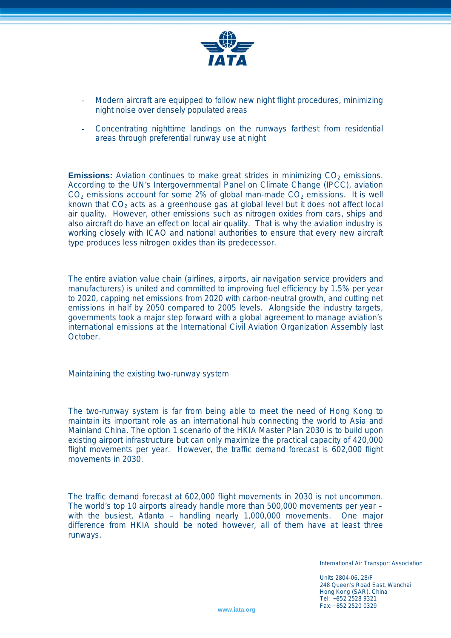

- Modern aircraft are equipped to follow new night flight procedures, minimizing night noise over densely populated areas
- Concentrating nighttime landings on the runways farthest from residential areas through preferential runway use at night

**Emissions:** Aviation continues to make great strides in minimizing CO<sub>2</sub> emissions. According to the UN's Intergovernmental Panel on Climate Change (IPCC), aviation  $CO<sub>2</sub>$  emissions account for some 2% of global man-made  $CO<sub>2</sub>$  emissions. It is well known that  $CO<sub>2</sub>$  acts as a greenhouse gas at global level but it does not affect local air quality. However, other emissions such as nitrogen oxides from cars, ships and also aircraft do have an effect on local air quality. That is why the aviation industry is working closely with ICAO and national authorities to ensure that every new aircraft type produces less nitrogen oxides than its predecessor.

The entire aviation value chain (airlines, airports, air navigation service providers and manufacturers) is united and committed to improving fuel efficiency by 1.5% per year to 2020, capping net emissions from 2020 with carbon-neutral growth, and cutting net emissions in half by 2050 compared to 2005 levels. Alongside the industry targets, governments took a major step forward with a global agreement to manage aviation's international emissions at the International Civil Aviation Organization Assembly last October.

## Maintaining the existing two-runway system

The two-runway system is far from being able to meet the need of Hong Kong to maintain its important role as an international hub connecting the world to Asia and Mainland China. The option 1 scenario of the HKIA Master Plan 2030 is to build upon existing airport infrastructure but can only maximize the practical capacity of 420,000 flight movements per year. However, the traffic demand forecast is 602,000 flight movements in 2030.

The traffic demand forecast at 602,000 flight movements in 2030 is not uncommon. The world's top 10 airports already handle more than 500,000 movements per year – with the busiest, Atlanta – handling nearly 1,000,000 movements. One major difference from HKIA should be noted however, all of them have at least three runways.

International Air Transport Association

Units 2804-06, 28/F 248 Queen's Road East, Wanchai Hong Kong (SAR), China Tel: +852 2528 9321 Fax: +852 2520 0329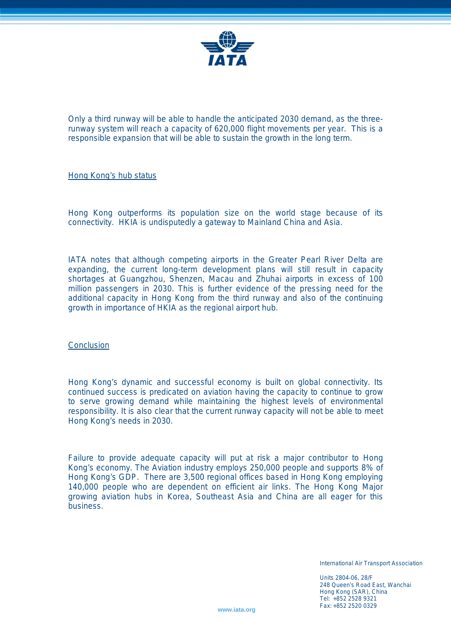

Only a third runway will be able to handle the anticipated 2030 demand, as the threerunway system will reach a capacity of 620,000 flight movements per year. This is a responsible expansion that will be able to sustain the growth in the long term.

## Hong Kong's hub status

Hong Kong outperforms its population size on the world stage because of its connectivity. HKIA is undisputedly a gateway to Mainland China and Asia.

IATA notes that although competing airports in the Greater Pearl River Delta are expanding, the current long-term development plans will still result in capacity shortages at Guangzhou, Shenzen, Macau and Zhuhai airports in excess of 100 million passengers in 2030. This is further evidence of the pressing need for the additional capacity in Hong Kong from the third runway and also of the continuing growth in importance of HKIA as the regional airport hub.

**Conclusion** 

Hong Kong's dynamic and successful economy is built on global connectivity. Its continued success is predicated on aviation having the capacity to continue to grow to serve growing demand while maintaining the highest levels of environmental responsibility. It is also clear that the current runway capacity will not be able to meet Hong Kong's needs in 2030.

Failure to provide adequate capacity will put at risk a major contributor to Hong Kong's economy. The Aviation industry employs 250,000 people and supports 8% of Hong Kong's GDP. There are 3,500 regional offices based in Hong Kong employing 140,000 people who are dependent on efficient air links. The Hong Kong Major growing aviation hubs in Korea, Southeast Asia and China are all eager for this business.

International Air Transport Association

Units 2804-06, 28/F 248 Queen's Road East, Wanchai Hong Kong (SAR), China Tel: +852 2528 9321 Fax: +852 2520 0329